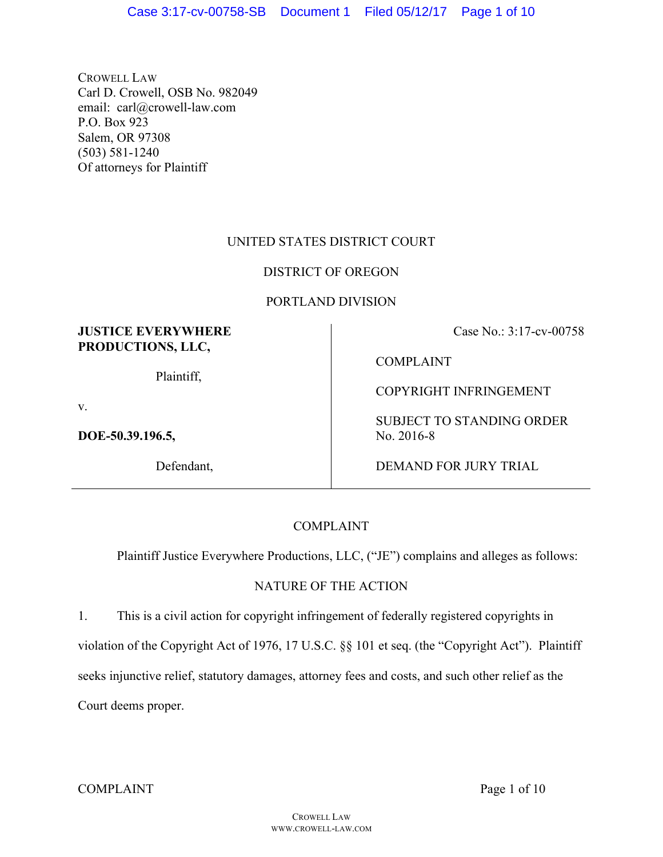CROWELL LAW Carl D. Crowell, OSB No. 982049 email: carl@crowell-law.com P.O. Box 923 Salem, OR 97308 (503) 581-1240 Of attorneys for Plaintiff

# UNITED STATES DISTRICT COURT

# DISTRICT OF OREGON

# PORTLAND DIVISION

## **JUSTICE EVERYWHERE PRODUCTIONS, LLC,**

Plaintiff,

v.

**DOE-50.39.196.5,** 

Defendant,

Case No.: 3:17-cv-00758

COMPLAINT

COPYRIGHT INFRINGEMENT

SUBJECT TO STANDING ORDER No. 2016-8

DEMAND FOR JURY TRIAL

# COMPLAINT

Plaintiff Justice Everywhere Productions, LLC, ("JE") complains and alleges as follows:

# NATURE OF THE ACTION

1. This is a civil action for copyright infringement of federally registered copyrights in violation of the Copyright Act of 1976, 17 U.S.C. §§ 101 et seq. (the "Copyright Act"). Plaintiff seeks injunctive relief, statutory damages, attorney fees and costs, and such other relief as the Court deems proper.

COMPLAINT Page 1 of 10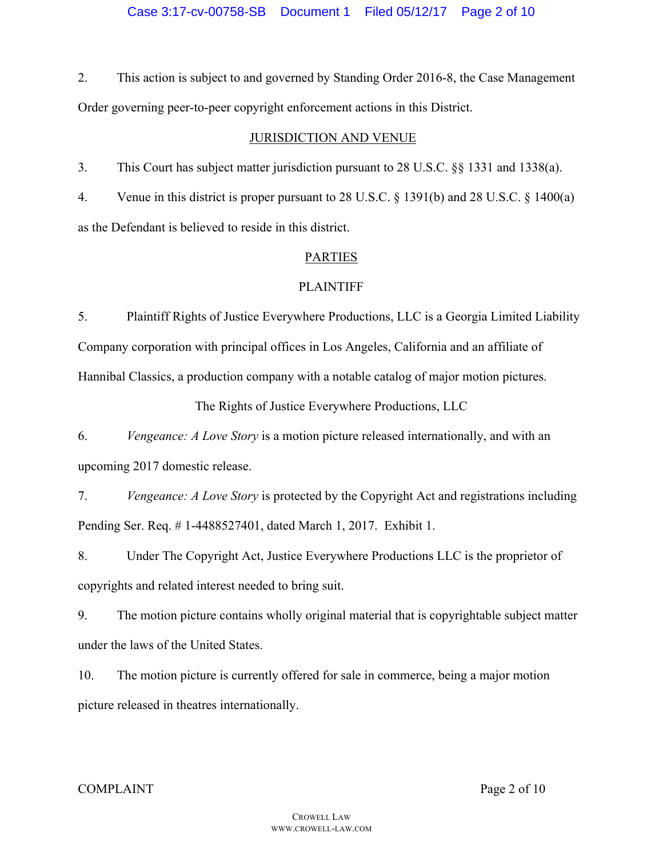2. This action is subject to and governed by Standing Order 2016-8, the Case Management Order governing peer-to-peer copyright enforcement actions in this District.

## JURISDICTION AND VENUE

3. This Court has subject matter jurisdiction pursuant to 28 U.S.C. §§ 1331 and 1338(a).

4. Venue in this district is proper pursuant to 28 U.S.C. § 1391(b) and 28 U.S.C. § 1400(a) as the Defendant is believed to reside in this district.

## PARTIES

## PLAINTIFF

5. Plaintiff Rights of Justice Everywhere Productions, LLC is a Georgia Limited Liability Company corporation with principal offices in Los Angeles, California and an affiliate of Hannibal Classics, a production company with a notable catalog of major motion pictures.

The Rights of Justice Everywhere Productions, LLC

6. *Vengeance: A Love Story* is a motion picture released internationally, and with an upcoming 2017 domestic release.

7. *Vengeance: A Love Story* is protected by the Copyright Act and registrations including Pending Ser. Req. # 1-4488527401, dated March 1, 2017. Exhibit 1.

8. Under The Copyright Act, Justice Everywhere Productions LLC is the proprietor of copyrights and related interest needed to bring suit.

9. The motion picture contains wholly original material that is copyrightable subject matter under the laws of the United States.

10. The motion picture is currently offered for sale in commerce, being a major motion picture released in theatres internationally.

### COMPLAINT Page 2 of 10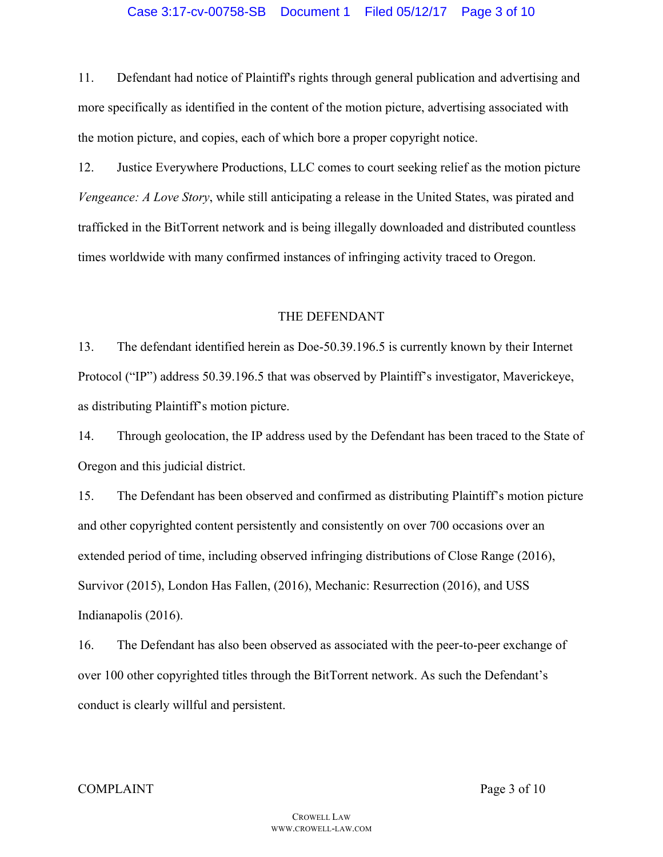11. Defendant had notice of Plaintiff's rights through general publication and advertising and more specifically as identified in the content of the motion picture, advertising associated with the motion picture, and copies, each of which bore a proper copyright notice.

12. Justice Everywhere Productions, LLC comes to court seeking relief as the motion picture *Vengeance: A Love Story*, while still anticipating a release in the United States, was pirated and trafficked in the BitTorrent network and is being illegally downloaded and distributed countless times worldwide with many confirmed instances of infringing activity traced to Oregon.

#### THE DEFENDANT

13. The defendant identified herein as Doe-50.39.196.5 is currently known by their Internet Protocol ("IP") address 50.39.196.5 that was observed by Plaintiff's investigator, Maverickeye, as distributing Plaintiff's motion picture.

14. Through geolocation, the IP address used by the Defendant has been traced to the State of Oregon and this judicial district.

15. The Defendant has been observed and confirmed as distributing Plaintiff's motion picture and other copyrighted content persistently and consistently on over 700 occasions over an extended period of time, including observed infringing distributions of Close Range (2016), Survivor (2015), London Has Fallen, (2016), Mechanic: Resurrection (2016), and USS Indianapolis (2016).

16. The Defendant has also been observed as associated with the peer-to-peer exchange of over 100 other copyrighted titles through the BitTorrent network. As such the Defendant's conduct is clearly willful and persistent.

#### COMPLAINT Page 3 of 10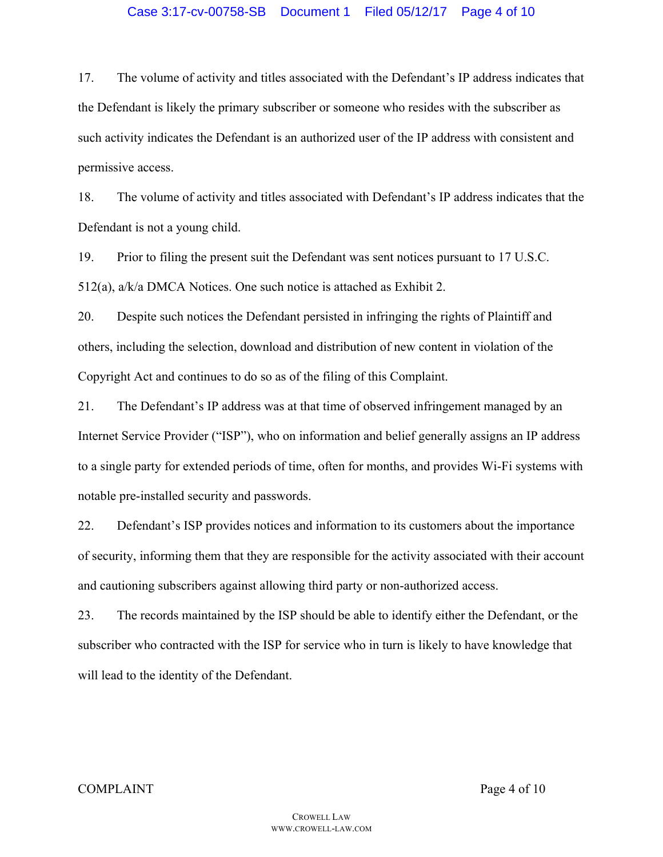#### Case 3:17-cv-00758-SB Document 1 Filed 05/12/17 Page 4 of 10

17. The volume of activity and titles associated with the Defendant's IP address indicates that the Defendant is likely the primary subscriber or someone who resides with the subscriber as such activity indicates the Defendant is an authorized user of the IP address with consistent and permissive access.

18. The volume of activity and titles associated with Defendant's IP address indicates that the Defendant is not a young child.

19. Prior to filing the present suit the Defendant was sent notices pursuant to 17 U.S.C. 512(a), a/k/a DMCA Notices. One such notice is attached as Exhibit 2.

20. Despite such notices the Defendant persisted in infringing the rights of Plaintiff and others, including the selection, download and distribution of new content in violation of the Copyright Act and continues to do so as of the filing of this Complaint.

21. The Defendant's IP address was at that time of observed infringement managed by an Internet Service Provider ("ISP"), who on information and belief generally assigns an IP address to a single party for extended periods of time, often for months, and provides Wi-Fi systems with notable pre-installed security and passwords.

22. Defendant's ISP provides notices and information to its customers about the importance of security, informing them that they are responsible for the activity associated with their account and cautioning subscribers against allowing third party or non-authorized access.

23. The records maintained by the ISP should be able to identify either the Defendant, or the subscriber who contracted with the ISP for service who in turn is likely to have knowledge that will lead to the identity of the Defendant.

#### COMPLAINT Page 4 of 10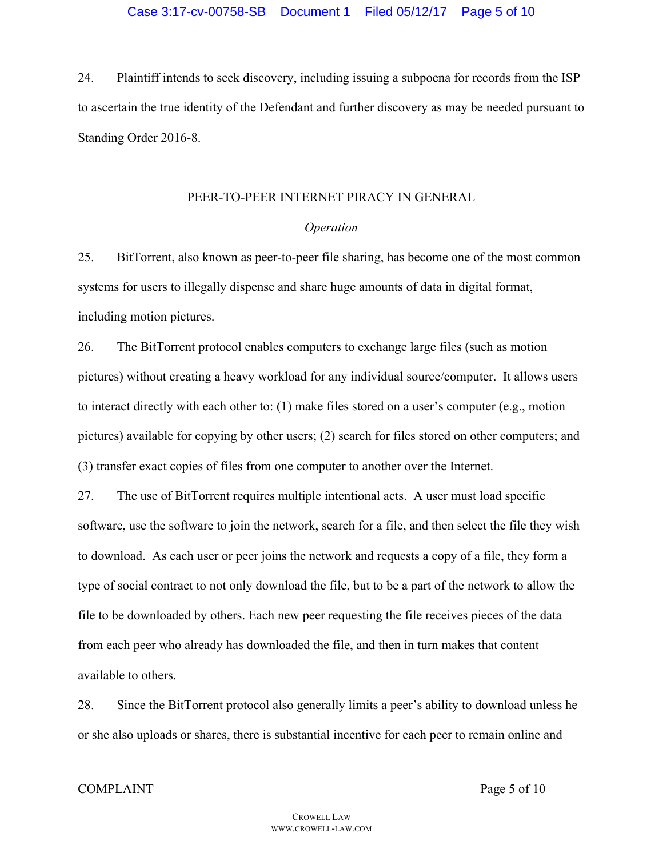24. Plaintiff intends to seek discovery, including issuing a subpoena for records from the ISP to ascertain the true identity of the Defendant and further discovery as may be needed pursuant to Standing Order 2016-8.

#### PEER-TO-PEER INTERNET PIRACY IN GENERAL

#### *Operation*

25. BitTorrent, also known as peer-to-peer file sharing, has become one of the most common systems for users to illegally dispense and share huge amounts of data in digital format, including motion pictures.

26. The BitTorrent protocol enables computers to exchange large files (such as motion pictures) without creating a heavy workload for any individual source/computer. It allows users to interact directly with each other to: (1) make files stored on a user's computer (e.g., motion pictures) available for copying by other users; (2) search for files stored on other computers; and (3) transfer exact copies of files from one computer to another over the Internet.

27. The use of BitTorrent requires multiple intentional acts. A user must load specific software, use the software to join the network, search for a file, and then select the file they wish to download. As each user or peer joins the network and requests a copy of a file, they form a type of social contract to not only download the file, but to be a part of the network to allow the file to be downloaded by others. Each new peer requesting the file receives pieces of the data from each peer who already has downloaded the file, and then in turn makes that content available to others.

28. Since the BitTorrent protocol also generally limits a peer's ability to download unless he or she also uploads or shares, there is substantial incentive for each peer to remain online and

#### COMPLAINT Page 5 of 10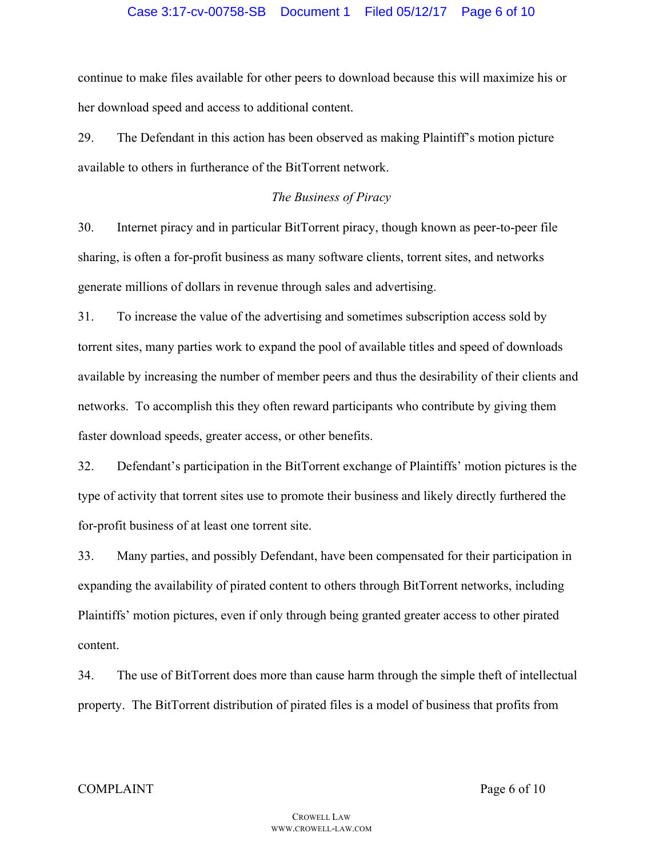continue to make files available for other peers to download because this will maximize his or her download speed and access to additional content.

29. The Defendant in this action has been observed as making Plaintiff's motion picture available to others in furtherance of the BitTorrent network.

### *The Business of Piracy*

30. Internet piracy and in particular BitTorrent piracy, though known as peer-to-peer file sharing, is often a for-profit business as many software clients, torrent sites, and networks generate millions of dollars in revenue through sales and advertising.

31. To increase the value of the advertising and sometimes subscription access sold by torrent sites, many parties work to expand the pool of available titles and speed of downloads available by increasing the number of member peers and thus the desirability of their clients and networks. To accomplish this they often reward participants who contribute by giving them faster download speeds, greater access, or other benefits.

32. Defendant's participation in the BitTorrent exchange of Plaintiffs' motion pictures is the type of activity that torrent sites use to promote their business and likely directly furthered the for-profit business of at least one torrent site.

33. Many parties, and possibly Defendant, have been compensated for their participation in expanding the availability of pirated content to others through BitTorrent networks, including Plaintiffs' motion pictures, even if only through being granted greater access to other pirated content.

34. The use of BitTorrent does more than cause harm through the simple theft of intellectual property. The BitTorrent distribution of pirated files is a model of business that profits from

COMPLAINT Page 6 of 10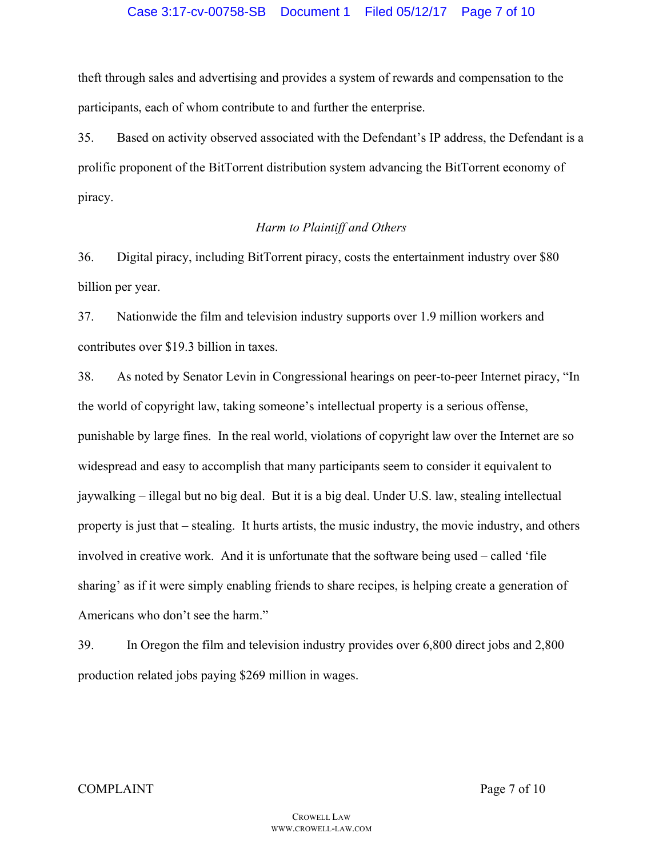theft through sales and advertising and provides a system of rewards and compensation to the participants, each of whom contribute to and further the enterprise.

35. Based on activity observed associated with the Defendant's IP address, the Defendant is a prolific proponent of the BitTorrent distribution system advancing the BitTorrent economy of piracy.

### *Harm to Plaintiff and Others*

36. Digital piracy, including BitTorrent piracy, costs the entertainment industry over \$80 billion per year.

37. Nationwide the film and television industry supports over 1.9 million workers and contributes over \$19.3 billion in taxes.

38. As noted by Senator Levin in Congressional hearings on peer-to-peer Internet piracy, "In the world of copyright law, taking someone's intellectual property is a serious offense, punishable by large fines. In the real world, violations of copyright law over the Internet are so widespread and easy to accomplish that many participants seem to consider it equivalent to jaywalking – illegal but no big deal. But it is a big deal. Under U.S. law, stealing intellectual property is just that – stealing. It hurts artists, the music industry, the movie industry, and others involved in creative work. And it is unfortunate that the software being used – called 'file sharing' as if it were simply enabling friends to share recipes, is helping create a generation of Americans who don't see the harm."

39. In Oregon the film and television industry provides over 6,800 direct jobs and 2,800 production related jobs paying \$269 million in wages.

#### COMPLAINT Page 7 of 10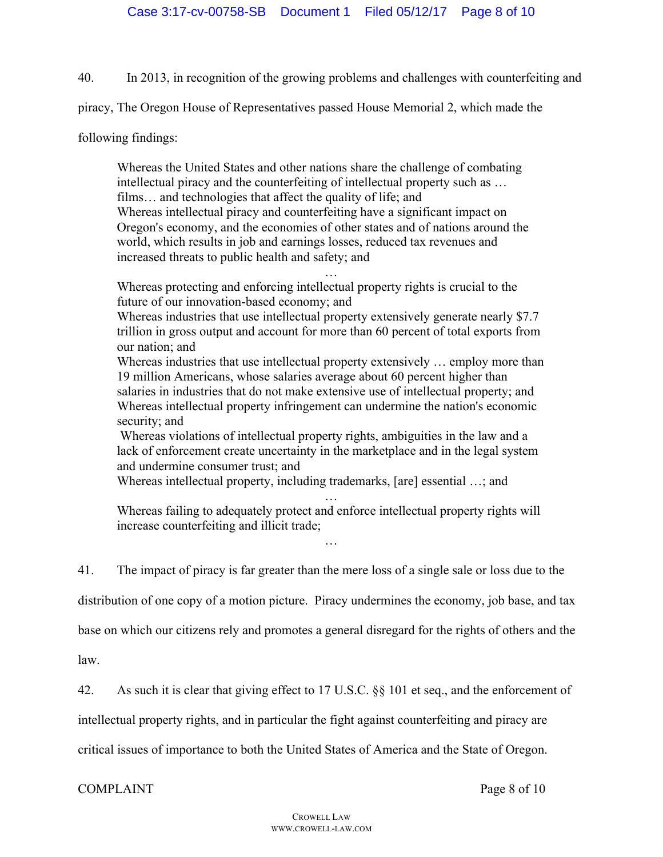40. In 2013, in recognition of the growing problems and challenges with counterfeiting and

piracy, The Oregon House of Representatives passed House Memorial 2, which made the

following findings:

Whereas the United States and other nations share the challenge of combating intellectual piracy and the counterfeiting of intellectual property such as … films… and technologies that affect the quality of life; and Whereas intellectual piracy and counterfeiting have a significant impact on Oregon's economy, and the economies of other states and of nations around the world, which results in job and earnings losses, reduced tax revenues and increased threats to public health and safety; and

… Whereas protecting and enforcing intellectual property rights is crucial to the future of our innovation-based economy; and

Whereas industries that use intellectual property extensively generate nearly \$7.7 trillion in gross output and account for more than 60 percent of total exports from our nation; and

Whereas industries that use intellectual property extensively … employ more than 19 million Americans, whose salaries average about 60 percent higher than salaries in industries that do not make extensive use of intellectual property; and Whereas intellectual property infringement can undermine the nation's economic security; and

Whereas violations of intellectual property rights, ambiguities in the law and a lack of enforcement create uncertainty in the marketplace and in the legal system and undermine consumer trust; and

Whereas intellectual property, including trademarks, [are] essential …; and

Whereas failing to adequately protect and enforce intellectual property rights will increase counterfeiting and illicit trade;

…

…

41. The impact of piracy is far greater than the mere loss of a single sale or loss due to the

distribution of one copy of a motion picture. Piracy undermines the economy, job base, and tax

base on which our citizens rely and promotes a general disregard for the rights of others and the

law.

42. As such it is clear that giving effect to 17 U.S.C. §§ 101 et seq., and the enforcement of

intellectual property rights, and in particular the fight against counterfeiting and piracy are

critical issues of importance to both the United States of America and the State of Oregon.

# COMPLAINT Page 8 of 10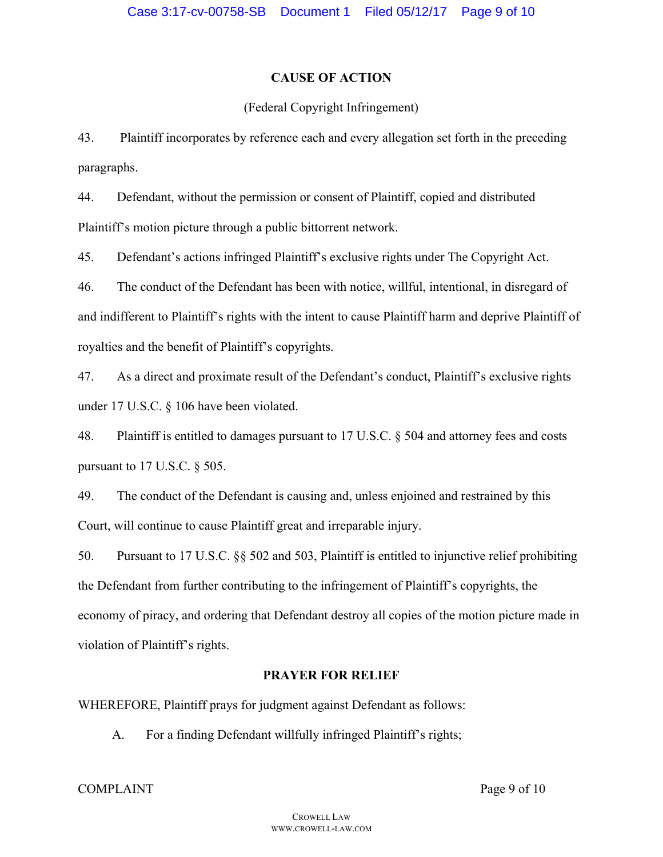# **CAUSE OF ACTION**

# (Federal Copyright Infringement)

43. Plaintiff incorporates by reference each and every allegation set forth in the preceding paragraphs.

44. Defendant, without the permission or consent of Plaintiff, copied and distributed Plaintiff's motion picture through a public bittorrent network.

45. Defendant's actions infringed Plaintiff's exclusive rights under The Copyright Act.

46. The conduct of the Defendant has been with notice, willful, intentional, in disregard of and indifferent to Plaintiff's rights with the intent to cause Plaintiff harm and deprive Plaintiff of royalties and the benefit of Plaintiff's copyrights.

47. As a direct and proximate result of the Defendant's conduct, Plaintiff's exclusive rights under 17 U.S.C. § 106 have been violated.

48. Plaintiff is entitled to damages pursuant to 17 U.S.C. § 504 and attorney fees and costs pursuant to 17 U.S.C. § 505.

49. The conduct of the Defendant is causing and, unless enjoined and restrained by this Court, will continue to cause Plaintiff great and irreparable injury.

50. Pursuant to 17 U.S.C. §§ 502 and 503, Plaintiff is entitled to injunctive relief prohibiting the Defendant from further contributing to the infringement of Plaintiff's copyrights, the economy of piracy, and ordering that Defendant destroy all copies of the motion picture made in violation of Plaintiff's rights.

# **PRAYER FOR RELIEF**

WHEREFORE, Plaintiff prays for judgment against Defendant as follows:

A. For a finding Defendant willfully infringed Plaintiff's rights;

COMPLAINT Page 9 of 10